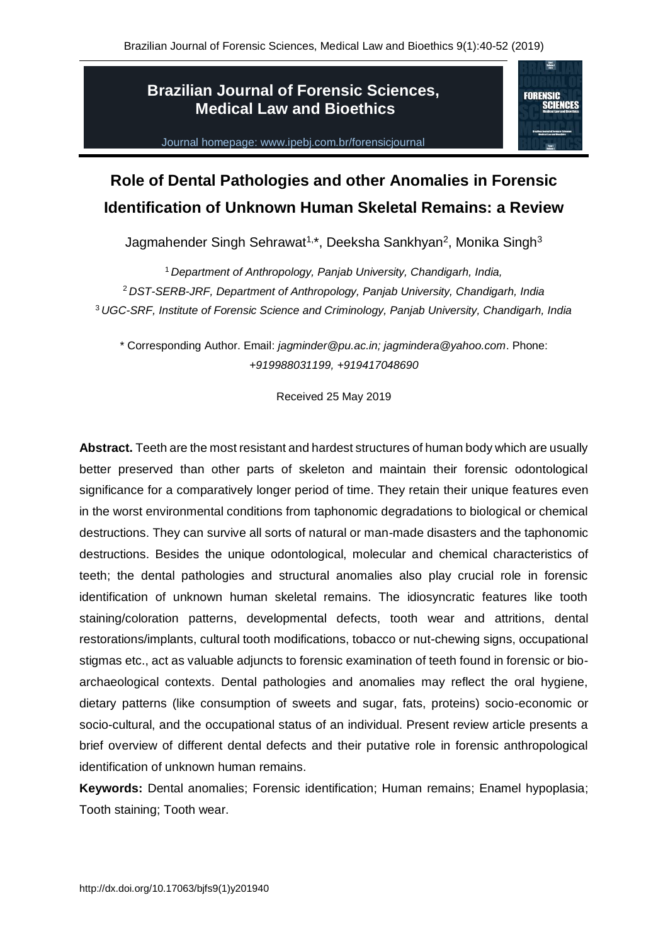## **Brazilian Journal of Forensic Sciences, Medical Law and Bioethics**

Journal homepage: www.ipebj.com.br/forensicjournal



# **Role of Dental Pathologies and other Anomalies in Forensic Identification of Unknown Human Skeletal Remains: a Review**

Jagmahender Singh Sehrawat<sup>1,\*</sup>, Deeksha Sankhyan<sup>2</sup>, Monika Singh<sup>3</sup>

<sup>1</sup> *Department of Anthropology, Panjab University, Chandigarh, India,* <sup>2</sup> *DST-SERB-JRF, Department of Anthropology, Panjab University, Chandigarh, India* <sup>3</sup> *UGC-SRF, Institute of Forensic Science and Criminology, Panjab University, Chandigarh, India*

\* Corresponding Author. Email: *jagminder@pu.ac.in; jagmindera@yahoo.com*. Phone: *+919988031199, +919417048690*

Received 25 May 2019

**Abstract.** Teeth are the most resistant and hardest structures of human body which are usually better preserved than other parts of skeleton and maintain their forensic odontological significance for a comparatively longer period of time. They retain their unique features even in the worst environmental conditions from taphonomic degradations to biological or chemical destructions. They can survive all sorts of natural or man-made disasters and the taphonomic destructions. Besides the unique odontological, molecular and chemical characteristics of teeth; the dental pathologies and structural anomalies also play crucial role in forensic identification of unknown human skeletal remains. The idiosyncratic features like tooth staining/coloration patterns, developmental defects, tooth wear and attritions, dental restorations/implants, cultural tooth modifications, tobacco or nut-chewing signs, occupational stigmas etc., act as valuable adjuncts to forensic examination of teeth found in forensic or bioarchaeological contexts. Dental pathologies and anomalies may reflect the oral hygiene, dietary patterns (like consumption of sweets and sugar, fats, proteins) socio-economic or socio-cultural, and the occupational status of an individual. Present review article presents a brief overview of different dental defects and their putative role in forensic anthropological identification of unknown human remains.

**Keywords:** Dental anomalies; Forensic identification; Human remains; Enamel hypoplasia; Tooth staining; Tooth wear.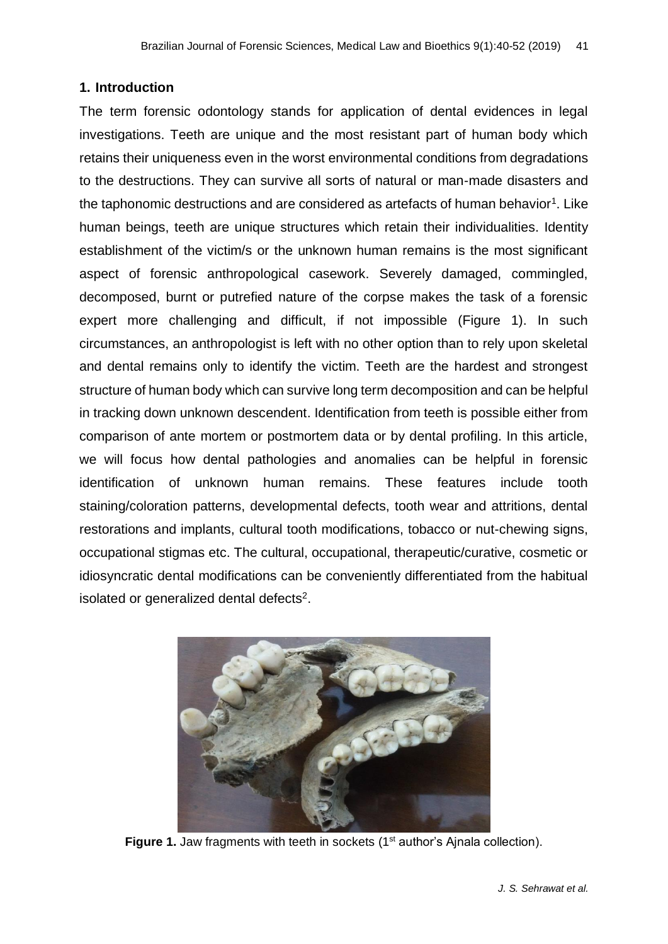#### **1. Introduction**

The term forensic odontology stands for application of dental evidences in legal investigations. Teeth are unique and the most resistant part of human body which retains their uniqueness even in the worst environmental conditions from degradations to the destructions. They can survive all sorts of natural or man-made disasters and the taphonomic destructions and are considered as artefacts of human behavior<sup>1</sup>. Like human beings, teeth are unique structures which retain their individualities. Identity establishment of the victim/s or the unknown human remains is the most significant aspect of forensic anthropological casework. Severely damaged, commingled, decomposed, burnt or putrefied nature of the corpse makes the task of a forensic expert more challenging and difficult, if not impossible (Figure 1). In such circumstances, an anthropologist is left with no other option than to rely upon skeletal and dental remains only to identify the victim. Teeth are the hardest and strongest structure of human body which can survive long term decomposition and can be helpful in tracking down unknown descendent. Identification from teeth is possible either from comparison of ante mortem or postmortem data or by dental profiling. In this article, we will focus how dental pathologies and anomalies can be helpful in forensic identification of unknown human remains. These features include tooth staining/coloration patterns, developmental defects, tooth wear and attritions, dental restorations and implants, cultural tooth modifications, tobacco or nut-chewing signs, occupational stigmas etc. The cultural, occupational, therapeutic/curative, cosmetic or idiosyncratic dental modifications can be conveniently differentiated from the habitual isolated or generalized dental defects<sup>2</sup>.



**Figure 1.** Jaw fragments with teeth in sockets (1<sup>st</sup> author's Ajnala collection).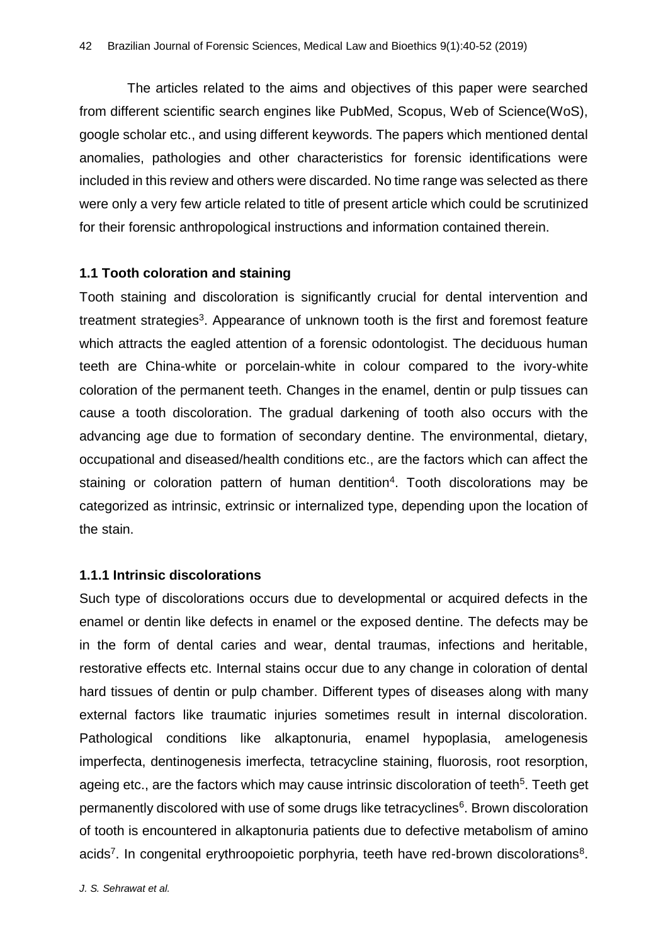The articles related to the aims and objectives of this paper were searched from different scientific search engines like PubMed, Scopus, Web of Science(WoS), google scholar etc., and using different keywords. The papers which mentioned dental anomalies, pathologies and other characteristics for forensic identifications were included in this review and others were discarded. No time range was selected as there were only a very few article related to title of present article which could be scrutinized for their forensic anthropological instructions and information contained therein.

#### **1.1 Tooth coloration and staining**

Tooth staining and discoloration is significantly crucial for dental intervention and treatment strategies<sup>3</sup>. Appearance of unknown tooth is the first and foremost feature which attracts the eagled attention of a forensic odontologist. The deciduous human teeth are China-white or porcelain-white in colour compared to the ivory-white coloration of the permanent teeth. Changes in the enamel, dentin or pulp tissues can cause a tooth discoloration. The gradual darkening of tooth also occurs with the advancing age due to formation of secondary dentine. The environmental, dietary, occupational and diseased/health conditions etc., are the factors which can affect the staining or coloration pattern of human dentition<sup>4</sup>. Tooth discolorations may be categorized as intrinsic, extrinsic or internalized type, depending upon the location of the stain.

## **1.1.1 Intrinsic discolorations**

Such type of discolorations occurs due to developmental or acquired defects in the enamel or dentin like defects in enamel or the exposed dentine. The defects may be in the form of dental caries and wear, dental traumas, infections and heritable, restorative effects etc. Internal stains occur due to any change in coloration of dental hard tissues of dentin or pulp chamber. Different types of diseases along with many external factors like traumatic injuries sometimes result in internal discoloration. Pathological conditions like alkaptonuria, enamel hypoplasia, amelogenesis imperfecta, dentinogenesis imerfecta, tetracycline staining, fluorosis, root resorption, ageing etc., are the factors which may cause intrinsic discoloration of teeth<sup>5</sup>. Teeth get permanently discolored with use of some drugs like tetracyclines<sup>6</sup>. Brown discoloration of tooth is encountered in alkaptonuria patients due to defective metabolism of amino acids<sup>7</sup>. In congenital erythroopoietic porphyria, teeth have red-brown discolorations<sup>8</sup>.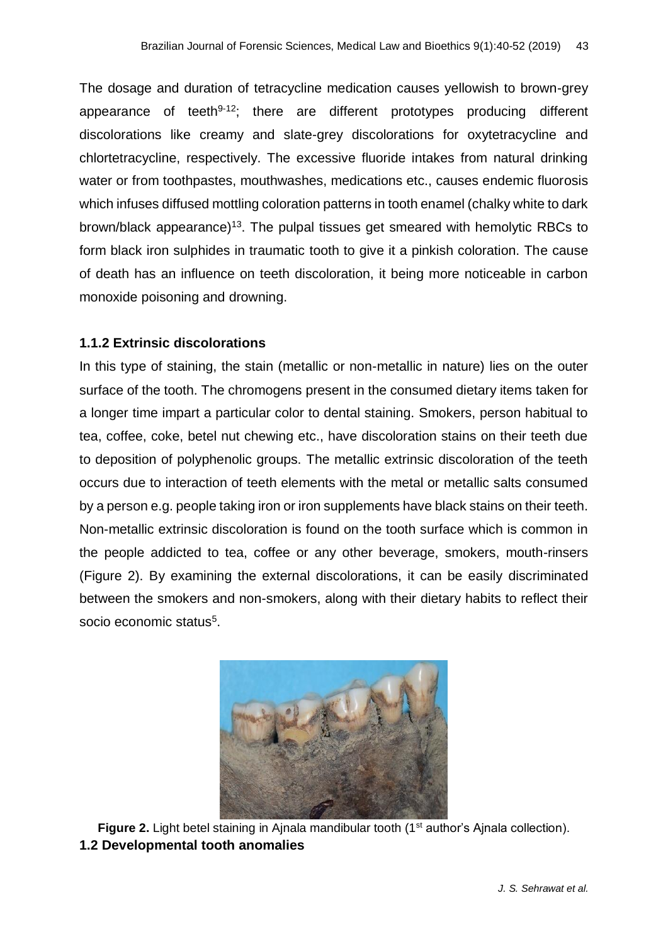The dosage and duration of tetracycline medication causes yellowish to brown-grey appearance of teeth<sup>9-12</sup>; there are different prototypes producing different discolorations like creamy and slate-grey discolorations for oxytetracycline and chlortetracycline, respectively. The excessive fluoride intakes from natural drinking water or from toothpastes, mouthwashes, medications etc., causes endemic fluorosis which infuses diffused mottling coloration patterns in tooth enamel (chalky white to dark brown/black appearance)<sup>13</sup>. The pulpal tissues get smeared with hemolytic RBCs to form black iron sulphides in traumatic tooth to give it a pinkish coloration. The cause of death has an influence on teeth discoloration, it being more noticeable in carbon monoxide poisoning and drowning.

#### **1.1.2 Extrinsic discolorations**

In this type of staining, the stain (metallic or non-metallic in nature) lies on the outer surface of the tooth. The chromogens present in the consumed dietary items taken for a longer time impart a particular color to dental staining. Smokers, person habitual to tea, coffee, coke, betel nut chewing etc., have discoloration stains on their teeth due to deposition of polyphenolic groups. The metallic extrinsic discoloration of the teeth occurs due to interaction of teeth elements with the metal or metallic salts consumed by a person e.g. people taking iron or iron supplements have black stains on their teeth. Non-metallic extrinsic discoloration is found on the tooth surface which is common in the people addicted to tea, coffee or any other beverage, smokers, mouth-rinsers (Figure 2). By examining the external discolorations, it can be easily discriminated between the smokers and non-smokers, along with their dietary habits to reflect their socio economic status<sup>5</sup>.



**Figure 2.** Light betel staining in Ainala mandibular tooth (1<sup>st</sup> author's Ainala collection). **1.2 Developmental tooth anomalies**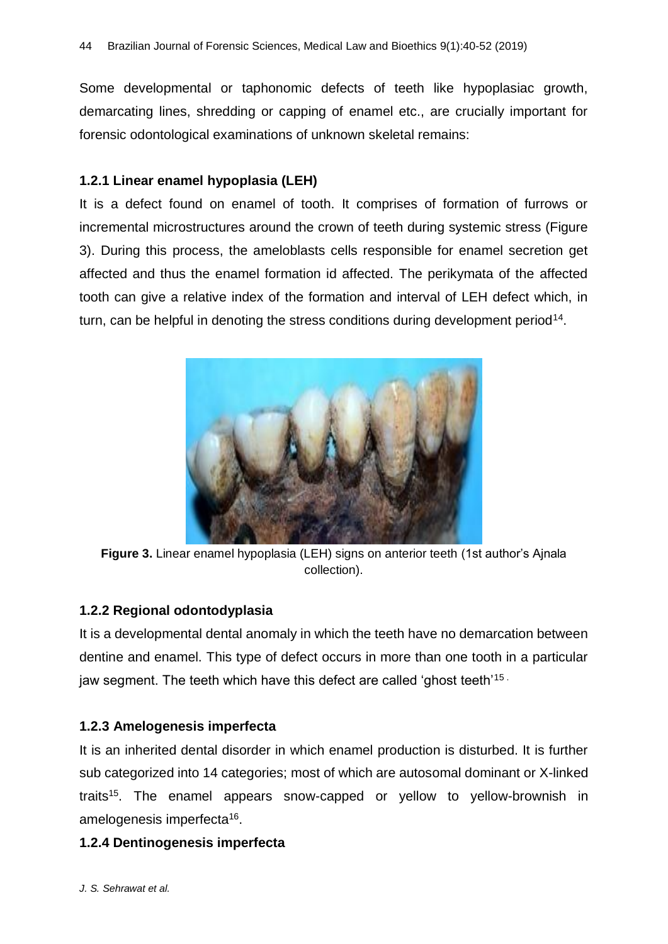Some developmental or taphonomic defects of teeth like hypoplasiac growth, demarcating lines, shredding or capping of enamel etc., are crucially important for forensic odontological examinations of unknown skeletal remains:

## **1.2.1 Linear enamel hypoplasia (LEH)**

It is a defect found on enamel of tooth. It comprises of formation of furrows or incremental microstructures around the crown of teeth during systemic stress (Figure 3). During this process, the ameloblasts cells responsible for enamel secretion get affected and thus the enamel formation id affected. The perikymata of the affected tooth can give a relative index of the formation and interval of LEH defect which, in turn, can be helpful in denoting the stress conditions during development period<sup>14</sup>.



**Figure 3.** Linear enamel hypoplasia (LEH) signs on anterior teeth (1st author's Ajnala collection).

## **1.2.2 Regional odontodyplasia**

It is a developmental dental anomaly in which the teeth have no demarcation between dentine and enamel. This type of defect occurs in more than one tooth in a particular jaw segment. The teeth which have this defect are called 'ghost teeth'<sup>15</sup>

## **1.2.3 Amelogenesis imperfecta**

It is an inherited dental disorder in which enamel production is disturbed. It is further sub categorized into 14 categories; most of which are autosomal dominant or X-linked traits<sup>15</sup>. The enamel appears snow-capped or yellow to yellow-brownish in amelogenesis imperfecta<sup>16</sup>.

## **1.2.4 Dentinogenesis imperfecta**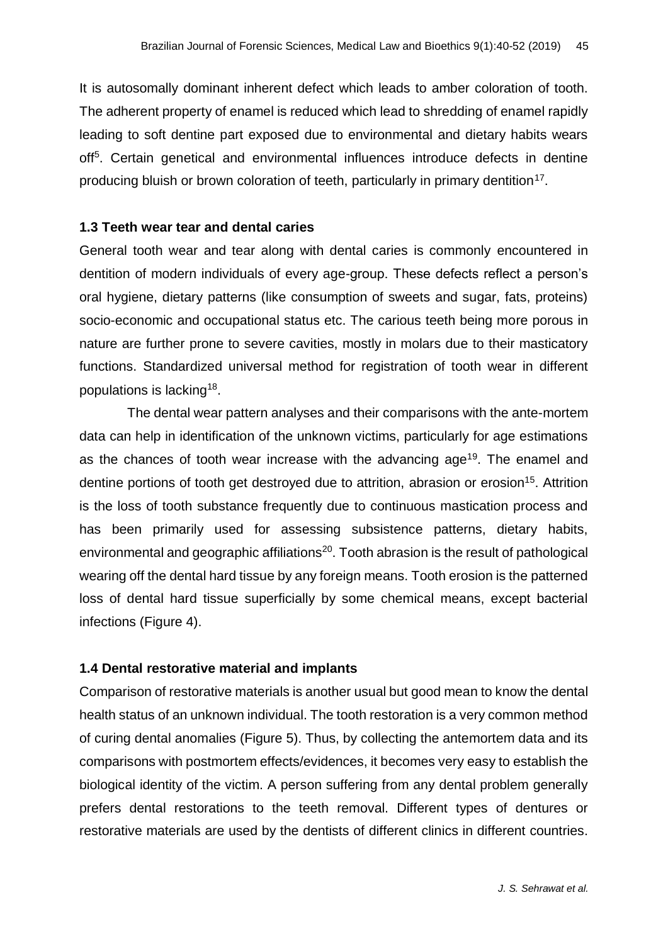It is autosomally dominant inherent defect which leads to amber coloration of tooth. The adherent property of enamel is reduced which lead to shredding of enamel rapidly leading to soft dentine part exposed due to environmental and dietary habits wears off<sup>5</sup>. Certain genetical and environmental influences introduce defects in dentine producing bluish or brown coloration of teeth, particularly in primary dentition<sup>17</sup>.

#### **1.3 Teeth wear tear and dental caries**

General tooth wear and tear along with dental caries is commonly encountered in dentition of modern individuals of every age-group. These defects reflect a person's oral hygiene, dietary patterns (like consumption of sweets and sugar, fats, proteins) socio-economic and occupational status etc. The carious teeth being more porous in nature are further prone to severe cavities, mostly in molars due to their masticatory functions. Standardized universal method for registration of tooth wear in different populations is lacking<sup>18</sup>.

The dental wear pattern analyses and their comparisons with the ante-mortem data can help in identification of the unknown victims, particularly for age estimations as the chances of tooth wear increase with the advancing age<sup>19</sup>. The enamel and dentine portions of tooth get destroyed due to attrition, abrasion or erosion<sup>15</sup>. Attrition is the loss of tooth substance frequently due to continuous mastication process and has been primarily used for assessing subsistence patterns, dietary habits, environmental and geographic affiliations<sup>20</sup>. Tooth abrasion is the result of pathological wearing off the dental hard tissue by any foreign means. Tooth erosion is the patterned loss of dental hard tissue superficially by some chemical means, except bacterial infections (Figure 4).

## **1.4 Dental restorative material and implants**

Comparison of restorative materials is another usual but good mean to know the dental health status of an unknown individual. The tooth restoration is a very common method of curing dental anomalies (Figure 5). Thus, by collecting the antemortem data and its comparisons with postmortem effects/evidences, it becomes very easy to establish the biological identity of the victim. A person suffering from any dental problem generally prefers dental restorations to the teeth removal. Different types of dentures or restorative materials are used by the dentists of different clinics in different countries.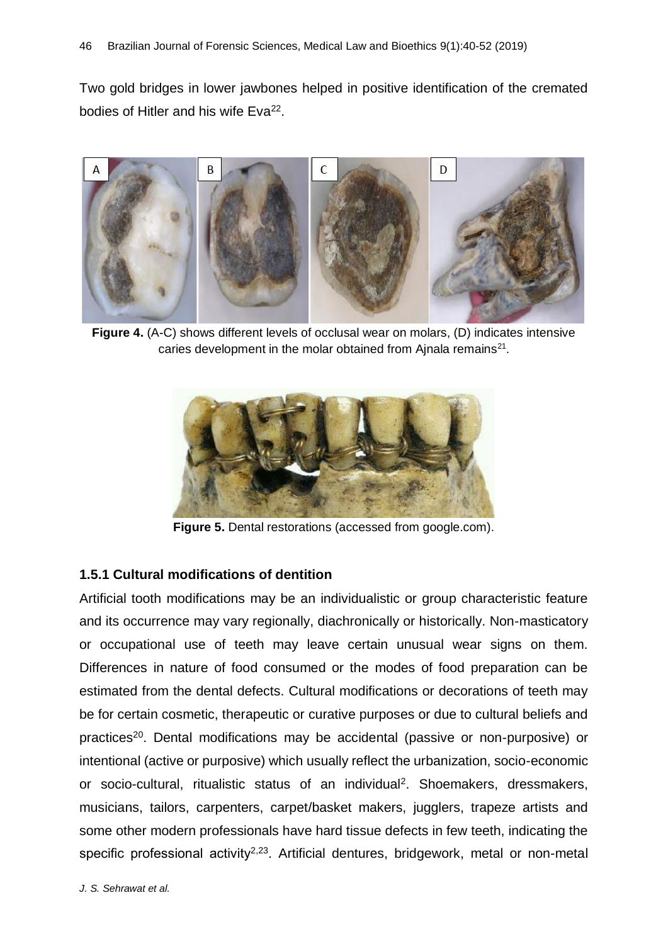Two gold bridges in lower jawbones helped in positive identification of the cremated bodies of Hitler and his wife Eva<sup>22</sup>.



**Figure 4.** (A-C) shows different levels of occlusal wear on molars, (D) indicates intensive caries development in the molar obtained from Ajnala remains $^{21}$ .



**Figure 5.** Dental restorations (accessed from google.com).

## **1.5.1 Cultural modifications of dentition**

Artificial tooth modifications may be an individualistic or group characteristic feature and its occurrence may vary regionally, diachronically or historically. Non-masticatory or occupational use of teeth may leave certain unusual wear signs on them. Differences in nature of food consumed or the modes of food preparation can be estimated from the dental defects. Cultural modifications or decorations of teeth may be for certain cosmetic, therapeutic or curative purposes or due to cultural beliefs and practices<sup>20</sup>. Dental modifications may be accidental (passive or non-purposive) or intentional (active or purposive) which usually reflect the urbanization, socio-economic or socio-cultural, ritualistic status of an individual<sup>2</sup>. Shoemakers, dressmakers, musicians, tailors, carpenters, carpet/basket makers, jugglers, trapeze artists and some other modern professionals have hard tissue defects in few teeth, indicating the specific professional activity<sup>2,23</sup>. Artificial dentures, bridgework, metal or non-metal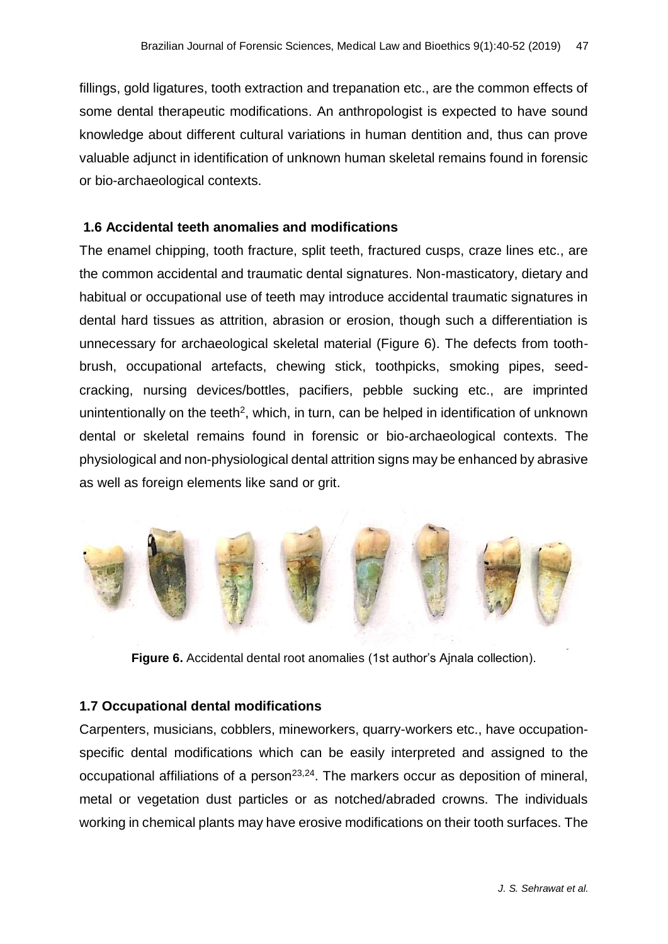fillings, gold ligatures, tooth extraction and trepanation etc., are the common effects of some dental therapeutic modifications. An anthropologist is expected to have sound knowledge about different cultural variations in human dentition and, thus can prove valuable adjunct in identification of unknown human skeletal remains found in forensic or bio-archaeological contexts.

#### **1.6 Accidental teeth anomalies and modifications**

The enamel chipping, tooth fracture, split teeth, fractured cusps, craze lines etc., are the common accidental and traumatic dental signatures. Non-masticatory, dietary and habitual or occupational use of teeth may introduce accidental traumatic signatures in dental hard tissues as attrition, abrasion or erosion, though such a differentiation is unnecessary for archaeological skeletal material (Figure 6). The defects from toothbrush, occupational artefacts, chewing stick, toothpicks, smoking pipes, seedcracking, nursing devices/bottles, pacifiers, pebble sucking etc., are imprinted unintentionally on the teeth<sup>2</sup>, which, in turn, can be helped in identification of unknown dental or skeletal remains found in forensic or bio-archaeological contexts. The physiological and non-physiological dental attrition signs may be enhanced by abrasive as well as foreign elements like sand or grit.



**Figure 6.** Accidental dental root anomalies (1st author's Ajnala collection).

#### **1.7 Occupational dental modifications**

Carpenters, musicians, cobblers, mineworkers, quarry-workers etc., have occupationspecific dental modifications which can be easily interpreted and assigned to the occupational affiliations of a person<sup>23,24</sup>. The markers occur as deposition of mineral, metal or vegetation dust particles or as notched/abraded crowns. The individuals working in chemical plants may have erosive modifications on their tooth surfaces. The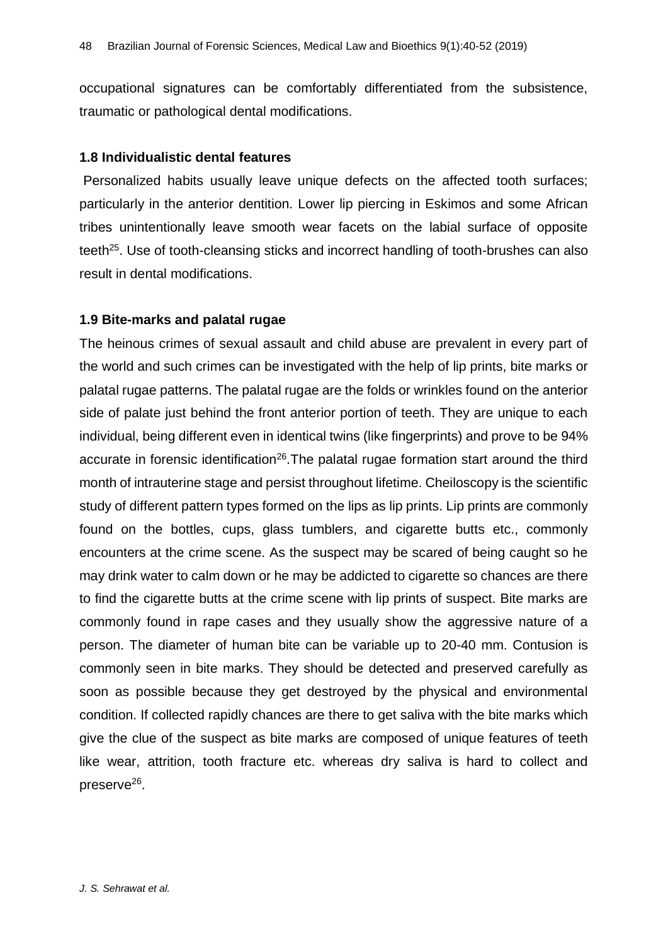occupational signatures can be comfortably differentiated from the subsistence, traumatic or pathological dental modifications.

#### **1.8 Individualistic dental features**

Personalized habits usually leave unique defects on the affected tooth surfaces; particularly in the anterior dentition. Lower lip piercing in Eskimos and some African tribes unintentionally leave smooth wear facets on the labial surface of opposite teeth<sup>25</sup>. Use of tooth-cleansing sticks and incorrect handling of tooth-brushes can also result in dental modifications.

## **1.9 Bite-marks and palatal rugae**

The heinous crimes of sexual assault and child abuse are prevalent in every part of the world and such crimes can be investigated with the help of lip prints, bite marks or palatal rugae patterns. The palatal rugae are the folds or wrinkles found on the anterior side of palate just behind the front anterior portion of teeth. They are unique to each individual, being different even in identical twins (like fingerprints) and prove to be 94% accurate in forensic identification<sup>26</sup>. The palatal rugae formation start around the third month of intrauterine stage and persist throughout lifetime. Cheiloscopy is the scientific study of different pattern types formed on the lips as lip prints. Lip prints are commonly found on the bottles, cups, glass tumblers, and cigarette butts etc., commonly encounters at the crime scene. As the suspect may be scared of being caught so he may drink water to calm down or he may be addicted to cigarette so chances are there to find the cigarette butts at the crime scene with lip prints of suspect. Bite marks are commonly found in rape cases and they usually show the aggressive nature of a person. The diameter of human bite can be variable up to 20-40 mm. Contusion is commonly seen in bite marks. They should be detected and preserved carefully as soon as possible because they get destroyed by the physical and environmental condition. If collected rapidly chances are there to get saliva with the bite marks which give the clue of the suspect as bite marks are composed of unique features of teeth like wear, attrition, tooth fracture etc. whereas dry saliva is hard to collect and preserve<sup>26</sup>.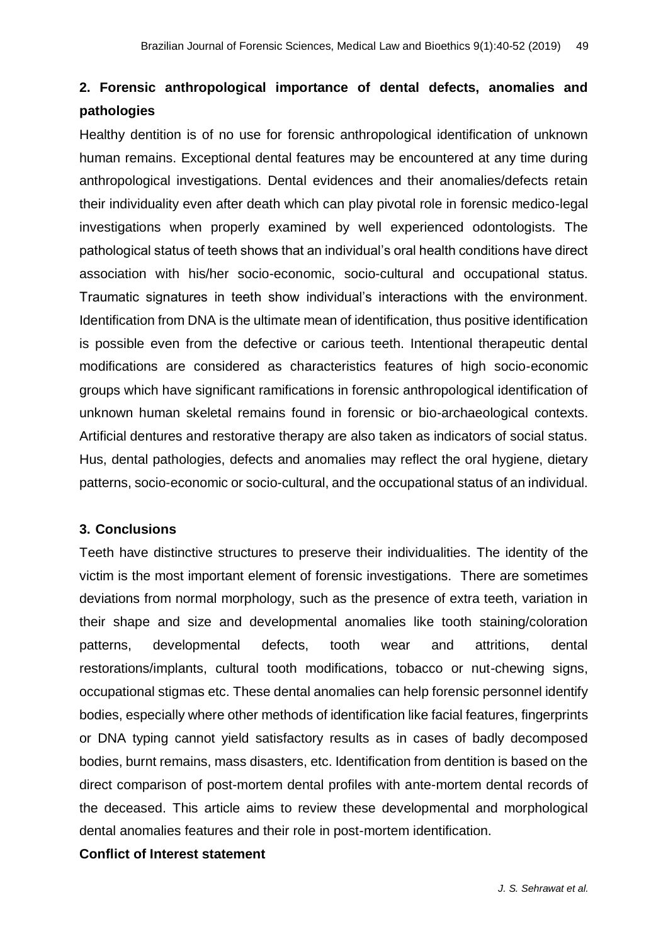# **2. Forensic anthropological importance of dental defects, anomalies and pathologies**

Healthy dentition is of no use for forensic anthropological identification of unknown human remains. Exceptional dental features may be encountered at any time during anthropological investigations. Dental evidences and their anomalies/defects retain their individuality even after death which can play pivotal role in forensic medico-legal investigations when properly examined by well experienced odontologists. The pathological status of teeth shows that an individual's oral health conditions have direct association with his/her socio-economic, socio-cultural and occupational status. Traumatic signatures in teeth show individual's interactions with the environment. Identification from DNA is the ultimate mean of identification, thus positive identification is possible even from the defective or carious teeth. Intentional therapeutic dental modifications are considered as characteristics features of high socio-economic groups which have significant ramifications in forensic anthropological identification of unknown human skeletal remains found in forensic or bio-archaeological contexts. Artificial dentures and restorative therapy are also taken as indicators of social status. Hus, dental pathologies, defects and anomalies may reflect the oral hygiene, dietary patterns, socio-economic or socio-cultural, and the occupational status of an individual.

#### **3. Conclusions**

Teeth have distinctive structures to preserve their individualities. The identity of the victim is the most important element of forensic investigations. There are sometimes deviations from normal morphology, such as the presence of extra teeth, variation in their shape and size and developmental anomalies like tooth staining/coloration patterns, developmental defects, tooth wear and attritions, dental restorations/implants, cultural tooth modifications, tobacco or nut-chewing signs, occupational stigmas etc. These dental anomalies can help forensic personnel identify bodies, especially where other methods of identification like facial features, fingerprints or DNA typing cannot yield satisfactory results as in cases of badly decomposed bodies, burnt remains, mass disasters, etc. Identification from dentition is based on the direct comparison of post-mortem dental profiles with ante-mortem dental records of the deceased. This article aims to review these developmental and morphological dental anomalies features and their role in post-mortem identification.

#### **Conflict of Interest statement**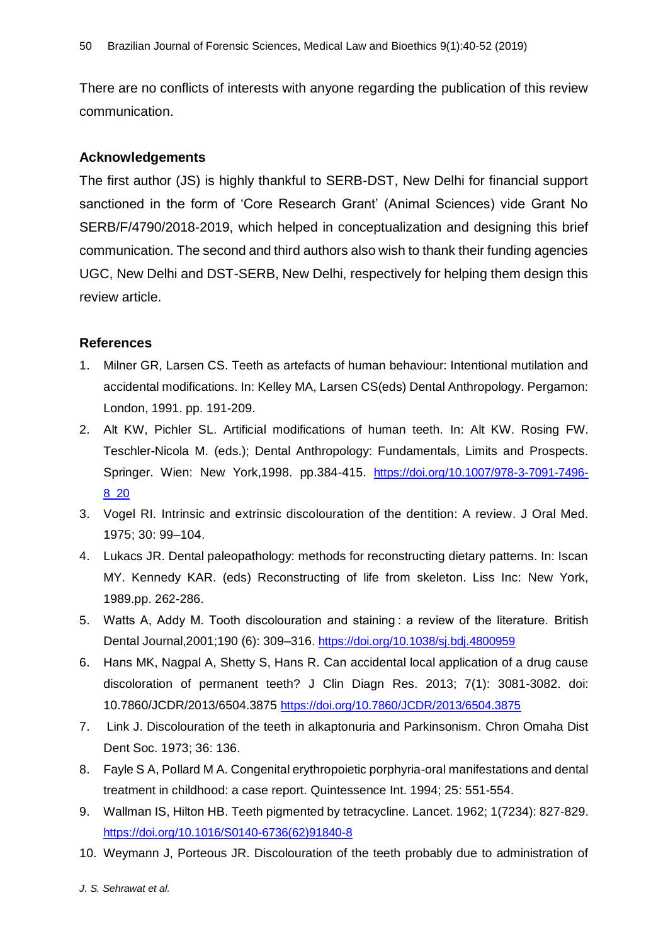There are no conflicts of interests with anyone regarding the publication of this review communication.

#### **Acknowledgements**

The first author (JS) is highly thankful to SERB-DST, New Delhi for financial support sanctioned in the form of 'Core Research Grant' (Animal Sciences) vide Grant No SERB/F/4790/2018-2019, which helped in conceptualization and designing this brief communication. The second and third authors also wish to thank their funding agencies UGC, New Delhi and DST-SERB, New Delhi, respectively for helping them design this review article.

#### **References**

- 1. Milner GR, Larsen CS. Teeth as artefacts of human behaviour: Intentional mutilation and accidental modifications. In: Kelley MA, Larsen CS(eds) Dental Anthropology. Pergamon: London, 1991. pp. 191-209.
- 2. Alt KW, Pichler SL. Artificial modifications of human teeth. In: Alt KW. Rosing FW. Teschler-Nicola M. (eds.); Dental Anthropology: Fundamentals, Limits and Prospects. Springer. Wien: New York,1998. pp.384-415. [https://doi.org/10.1007/978-3-7091-7496-](https://doi.org/10.1007/978-3-7091-7496-8_20) [8\\_20](https://doi.org/10.1007/978-3-7091-7496-8_20)
- 3. Vogel RI. Intrinsic and extrinsic discolouration of the dentition: A review. J Oral Med. 1975; 30: 99–104.
- 4. Lukacs JR. Dental paleopathology: methods for reconstructing dietary patterns. In: Iscan MY. Kennedy KAR. (eds) Reconstructing of life from skeleton. Liss Inc: New York, 1989.pp. 262-286.
- 5. Watts A, Addy M. Tooth discolouration and staining : a review of the literature. British Dental Journal,2001;190 (6): 309–316. <https://doi.org/10.1038/sj.bdj.4800959>
- 6. Hans MK, Nagpal A, Shetty S, Hans R. Can accidental local application of a drug cause discoloration of permanent teeth? J Clin Diagn Res. 2013; 7(1): 3081-3082. doi: 10.7860/JCDR/2013/6504.3875 <https://doi.org/10.7860/JCDR/2013/6504.3875>
- 7. Link J. Discolouration of the teeth in alkaptonuria and Parkinsonism. Chron Omaha Dist Dent Soc. 1973; 36: 136.
- 8. Fayle S A, Pollard M A. Congenital erythropoietic porphyria-oral manifestations and dental treatment in childhood: a case report. Quintessence Int. 1994; 25: 551-554.
- 9. Wallman IS, Hilton HB. Teeth pigmented by tetracycline. Lancet. 1962; 1(7234): 827-829. [https://doi.org/10.1016/S0140-6736\(62\)91840-8](https://doi.org/10.1016/S0140-6736(62)91840-8)
- 10. Weymann J, Porteous JR. Discolouration of the teeth probably due to administration of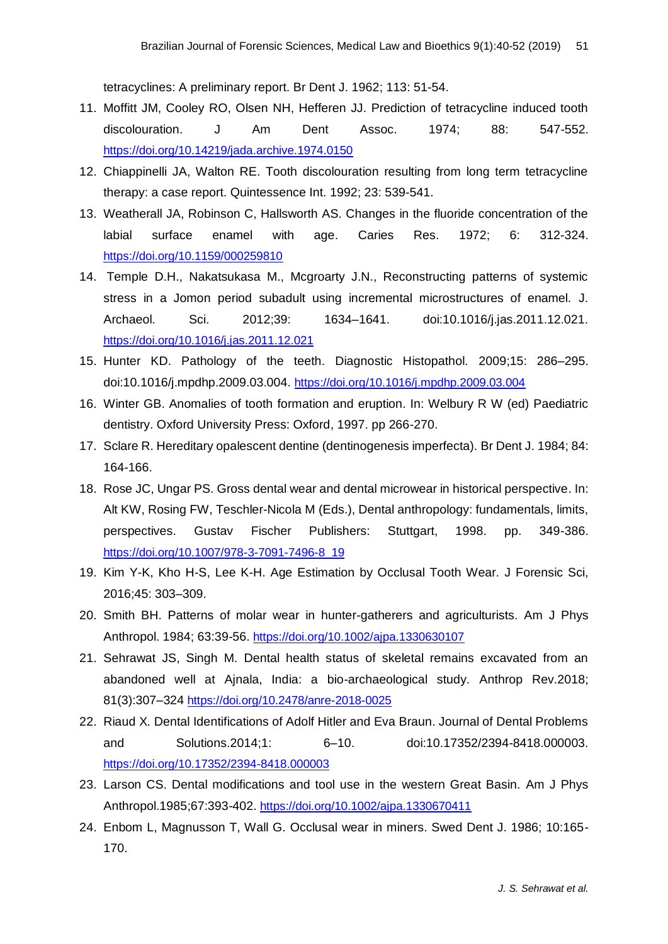tetracyclines: A preliminary report. Br Dent J. 1962; 113: 51-54.

- 11. Moffitt JM, Cooley RO, Olsen NH, Hefferen JJ. Prediction of tetracycline induced tooth discolouration. J Am Dent Assoc. 1974; 88: 547-552. <https://doi.org/10.14219/jada.archive.1974.0150>
- 12. Chiappinelli JA, Walton RE. Tooth discolouration resulting from long term tetracycline therapy: a case report. Quintessence Int. 1992; 23: 539-541.
- 13. Weatherall JA, Robinson C, Hallsworth AS. Changes in the fluoride concentration of the labial surface enamel with age. Caries Res. 1972; 6: 312-324. <https://doi.org/10.1159/000259810>
- 14. Temple D.H., Nakatsukasa M., Mcgroarty J.N., Reconstructing patterns of systemic stress in a Jomon period subadult using incremental microstructures of enamel. J. Archaeol. Sci. 2012;39: 1634–1641. doi:10.1016/j.jas.2011.12.021. <https://doi.org/10.1016/j.jas.2011.12.021>
- 15. Hunter KD. Pathology of the teeth. Diagnostic Histopathol. 2009;15: 286–295. doi:10.1016/j.mpdhp.2009.03.004. <https://doi.org/10.1016/j.mpdhp.2009.03.004>
- 16. Winter GB. Anomalies of tooth formation and eruption. In: Welbury R W (ed) Paediatric dentistry. Oxford University Press: Oxford, 1997. pp 266-270.
- 17. Sclare R. Hereditary opalescent dentine (dentinogenesis imperfecta). Br Dent J. 1984; 84: 164-166.
- 18. Rose JC, Ungar PS. Gross dental wear and dental microwear in historical perspective. In: Alt KW, Rosing FW, Teschler-Nicola M (Eds.), Dental anthropology: fundamentals, limits, perspectives. Gustav Fischer Publishers: Stuttgart, 1998. pp. 349-386. [https://doi.org/10.1007/978-3-7091-7496-8\\_19](https://doi.org/10.1007/978-3-7091-7496-8_19)
- 19. Kim Y-K, Kho H-S, Lee K-H. Age Estimation by Occlusal Tooth Wear. J Forensic Sci, 2016;45: 303–309.
- 20. Smith BH. Patterns of molar wear in hunter-gatherers and agriculturists. Am J Phys Anthropol. 1984; 63:39-56. <https://doi.org/10.1002/ajpa.1330630107>
- 21. Sehrawat JS, Singh M. Dental health status of skeletal remains excavated from an abandoned well at Ajnala, India: a bio-archaeological study. Anthrop Rev.2018; 81(3):307–324 <https://doi.org/10.2478/anre-2018-0025>
- 22. Riaud X. Dental Identifications of Adolf Hitler and Eva Braun. Journal of Dental Problems and Solutions.2014;1: 6–10. doi:10.17352/2394-8418.000003. <https://doi.org/10.17352/2394-8418.000003>
- 23. Larson CS. Dental modifications and tool use in the western Great Basin. Am J Phys Anthropol.1985;67:393-402. <https://doi.org/10.1002/ajpa.1330670411>
- 24. Enbom L, Magnusson T, Wall G. Occlusal wear in miners. Swed Dent J. 1986; 10:165- 170.